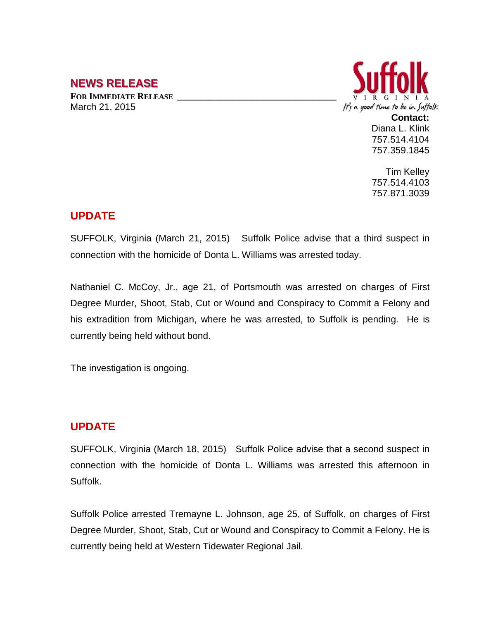# **NEWS RELEASE**

**FOR IMMEDIATE RELEASE \_\_\_\_\_\_\_\_\_\_\_\_\_\_\_\_\_\_\_\_\_\_\_\_\_\_\_\_\_\_\_\_\_\_** March 21, 2015



Diana L. Klink 757.514.4104 757.359.1845

Tim Kelley 757.514.4103 757.871.3039

## **UPDATE**

SUFFOLK, Virginia (March 21, 2015) Suffolk Police advise that a third suspect in connection with the homicide of Donta L. Williams was arrested today.

Nathaniel C. McCoy, Jr., age 21, of Portsmouth was arrested on charges of First Degree Murder, Shoot, Stab, Cut or Wound and Conspiracy to Commit a Felony and his extradition from Michigan, where he was arrested, to Suffolk is pending. He is currently being held without bond.

The investigation is ongoing.

#### **UPDATE**

SUFFOLK, Virginia (March 18, 2015) Suffolk Police advise that a second suspect in connection with the homicide of Donta L. Williams was arrested this afternoon in Suffolk.

Suffolk Police arrested Tremayne L. Johnson, age 25, of Suffolk, on charges of First Degree Murder, Shoot, Stab, Cut or Wound and Conspiracy to Commit a Felony. He is currently being held at Western Tidewater Regional Jail.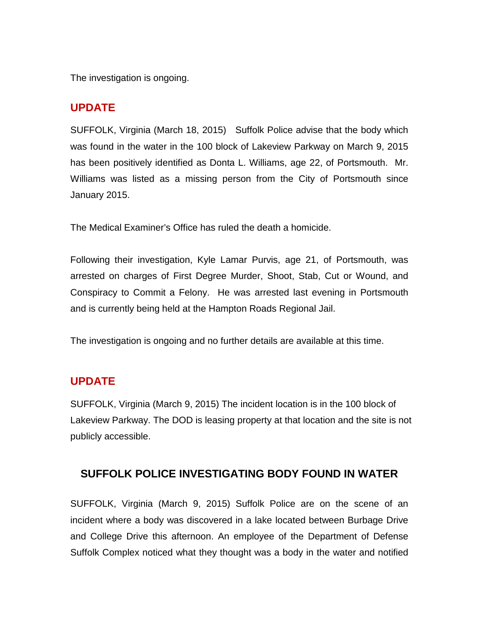The investigation is ongoing.

## **UPDATE**

SUFFOLK, Virginia (March 18, 2015) Suffolk Police advise that the body which was found in the water in the 100 block of Lakeview Parkway on March 9, 2015 has been positively identified as Donta L. Williams, age 22, of Portsmouth. Mr. Williams was listed as a missing person from the City of Portsmouth since January 2015.

The Medical Examiner's Office has ruled the death a homicide.

Following their investigation, Kyle Lamar Purvis, age 21, of Portsmouth, was arrested on charges of First Degree Murder, Shoot, Stab, Cut or Wound, and Conspiracy to Commit a Felony. He was arrested last evening in Portsmouth and is currently being held at the Hampton Roads Regional Jail.

The investigation is ongoing and no further details are available at this time.

#### **UPDATE**

SUFFOLK, Virginia (March 9, 2015) The incident location is in the 100 block of Lakeview Parkway. The DOD is leasing property at that location and the site is not publicly accessible.

## **SUFFOLK POLICE INVESTIGATING BODY FOUND IN WATER**

SUFFOLK, Virginia (March 9, 2015) Suffolk Police are on the scene of an incident where a body was discovered in a lake located between Burbage Drive and College Drive this afternoon. An employee of the Department of Defense Suffolk Complex noticed what they thought was a body in the water and notified